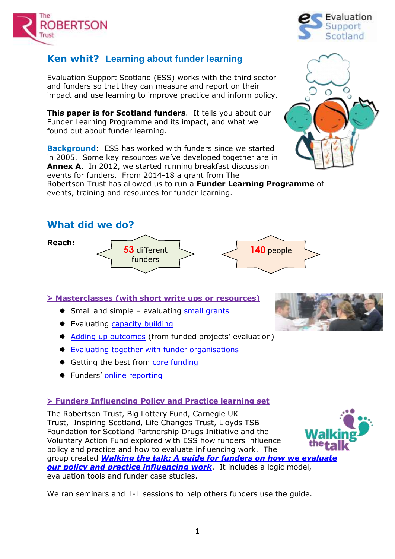

## **Ken whit? Learning about funder learning**

Evaluation Support Scotland (ESS) works with the third sector and funders so that they can measure and report on their impact and use learning to improve practice and inform policy.

**This paper is for Scotland funders**. It tells you about our Funder Learning Programme and its impact, and what we found out about funder learning.

**Background**: ESS has worked with funders since we started in 2005. Some key resources we've developed together are in **Annex A**. In 2012, we started running breakfast discussion events for funders. From 2014-18 a grant from The Robertson Trust has allowed us to run a **Funder Learning Programme** of

events, training and resources for funder learning.

## **What did we do?**

**Reach:**



**Masterclasses (with short write ups or resources)**

- Small and simple evaluating [small grants](http://www.evaluationsupportscotland.org.uk/resources/321/)
- **Evaluating [capacity building](http://www.evaluationsupportscotland.org.uk/resources/322/)**
- [Adding up outcomes](http://www.evaluationsupportscotland.org.uk/resources/311/) (from funded projects' evaluation)
- **[Evaluating together with funder organisations](http://www.evaluationsupportscotland.org.uk/resources/328/)**
- $#$  Getting the best from [core funding](http://www.evaluationsupportscotland.org.uk/resources/416/)
- **Funders' [online reporting](http://www.evaluationsupportscotland.org.uk/resources/419/)**

## **Funders Influencing Policy and Practice learning set**

The Robertson Trust, Big Lottery Fund, Carnegie UK Trust, Inspiring Scotland, Life Changes Trust, Lloyds TSB Foundation for Scotland Partnership Drugs Initiative and the Voluntary Action Fund explored with ESS how funders influence policy and practice and how to evaluate influencing work. The group created *[Walking the talk: A guide for funders on how we evaluate](http://evaluationsupportscotland.org.uk/resources/347/)  <u>[our policy and practice influencing work](http://evaluationsupportscotland.org.uk/resources/347/)</u>. It includes a logic model,* evaluation tools and funder case studies.

We ran seminars and 1-1 sessions to help others funders use the guide.







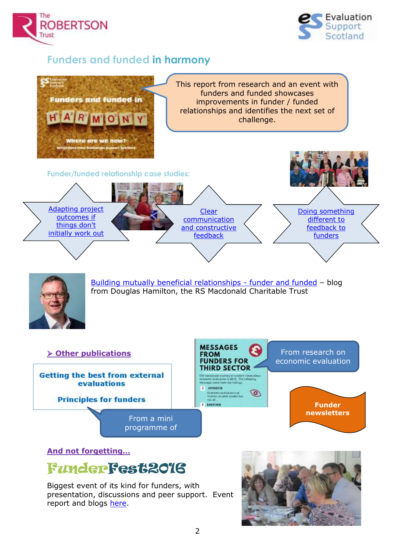



# **Funders and funded in harmony**



Biggest event of its kind for funders, with presentation, discussions and peer support. Event report and blogs [here.](http://www.evaluationsupportscotland.org.uk/how-can-we-help/tailored-support-funders/funderfest2016/)

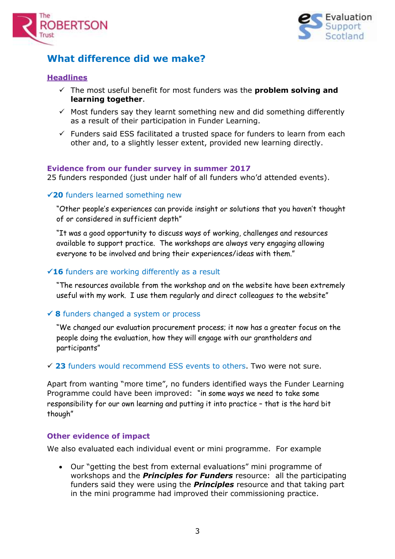



# **What difference did we make?**

### **Headlines**

- $\checkmark$  The most useful benefit for most funders was the **problem solving and learning together**.
- $\checkmark$  Most funders say they learnt something new and did something differently as a result of their participation in Funder Learning.
- $\checkmark$  Funders said ESS facilitated a trusted space for funders to learn from each other and, to a slightly lesser extent, provided new learning directly.

#### **Evidence from our funder survey in summer 2017**

25 funders responded (just under half of all funders who'd attended events).

#### **20** funders learned something new

"Other people's experiences can provide insight or solutions that you haven't thought of or considered in sufficient depth"

"It was a good opportunity to discuss ways of working, challenges and resources available to support practice. The workshops are always very engaging allowing everyone to be involved and bring their experiences/ideas with them."

#### **16** funders are working differently as a result

"The resources available from the workshop and on the website have been extremely useful with my work. I use them regularly and direct colleagues to the website"

#### **8** funders changed a system or process

"We changed our evaluation procurement process; it now has a greater focus on the people doing the evaluation, how they will engage with our grantholders and participants"

**23** funders would recommend ESS events to others. Two were not sure.

Apart from wanting "more time", no funders identified ways the Funder Learning Programme could have been improved: "in some ways we need to take some responsibility for our own learning and putting it into practice – that is the hard bit though"

#### **Other evidence of impact**

We also evaluated each individual event or mini programme. For example

 Our "getting the best from external evaluations" mini programme of workshops and the *Principles for Funders* resource: all the participating funders said they were using the *Principles* resource and that taking part in the mini programme had improved their commissioning practice.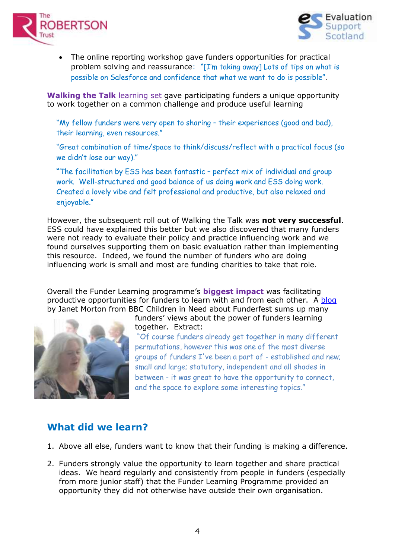



 The online reporting workshop gave funders opportunities for practical problem solving and reassurance: "[I'm taking away] Lots of tips on what is possible on Salesforce and confidence that what we want to do is possible".

**Walking the Talk** learning set gave participating funders a unique opportunity to work together on a common challenge and produce useful learning

"My fellow funders were very open to sharing – their experiences (good and bad), their learning, even resources."

"Great combination of time/space to think/discuss/reflect with a practical focus (so we didn't lose our way)."

**"**The facilitation by ESS has been fantastic – perfect mix of individual and group work. Well-structured and good balance of us doing work and ESS doing work. Created a lovely vibe and felt professional and productive, but also relaxed and enjoyable."

However, the subsequent roll out of Walking the Talk was **not very successful**. ESS could have explained this better but we also discovered that many funders were not ready to evaluate their policy and practice influencing work and we found ourselves supporting them on basic evaluation rather than implementing this resource. Indeed, we found the number of funders who are doing influencing work is small and most are funding charities to take that role.

Overall the Funder Learning programme's **biggest impact** was facilitating productive opportunities for funders to learn with and from each other. A [blog](http://www.evaluationsupportscotland.org.uk/news/2016/Jul/04/blog-power-funders-learning-together/) by Janet Morton from BBC Children in Need about Funderfest sums up many



funders' views about the power of funders learning together. Extract:

"Of course funders already get together in many different permutations, however this was one of the most diverse groups of funders I've been a part of - established and new; small and large; statutory, independent and all shades in between - it was great to have the opportunity to connect, and the space to explore some interesting topics."

# **What did we learn?**

- 1. Above all else, funders want to know that their funding is making a difference.
- 2. Funders strongly value the opportunity to learn together and share practical ideas. We heard regularly and consistently from people in funders (especially from more junior staff) that the Funder Learning Programme provided an opportunity they did not otherwise have outside their own organisation.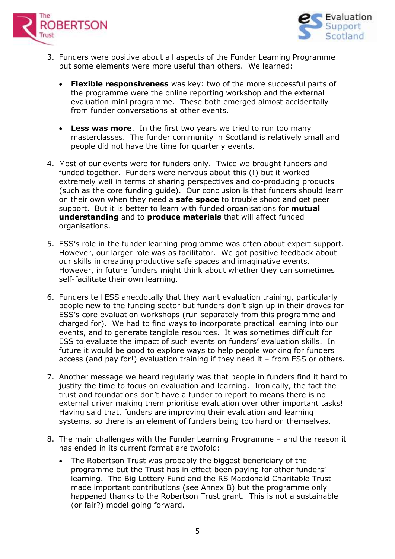



- 3. Funders were positive about all aspects of the Funder Learning Programme but some elements were more useful than others. We learned:
	- **Flexible responsiveness** was key: two of the more successful parts of the programme were the online reporting workshop and the external evaluation mini programme. These both emerged almost accidentally from funder conversations at other events.
	- **Less was more**. In the first two years we tried to run too many masterclasses. The funder community in Scotland is relatively small and people did not have the time for quarterly events.
- 4. Most of our events were for funders only. Twice we brought funders and funded together. Funders were nervous about this (!) but it worked extremely well in terms of sharing perspectives and co-producing products (such as the core funding guide). Our conclusion is that funders should learn on their own when they need a **safe space** to trouble shoot and get peer support. But it is better to learn with funded organisations for **mutual understanding** and to **produce materials** that will affect funded organisations.
- 5. ESS's role in the funder learning programme was often about expert support. However, our larger role was as facilitator. We got positive feedback about our skills in creating productive safe spaces and imaginative events. However, in future funders might think about whether they can sometimes self-facilitate their own learning.
- 6. Funders tell ESS anecdotally that they want evaluation training, particularly people new to the funding sector but funders don't sign up in their droves for ESS's core evaluation workshops (run separately from this programme and charged for). We had to find ways to incorporate practical learning into our events, and to generate tangible resources. It was sometimes difficult for ESS to evaluate the impact of such events on funders' evaluation skills. In future it would be good to explore ways to help people working for funders access (and pay for!) evaluation training if they need it – from ESS or others.
- 7. Another message we heard regularly was that people in funders find it hard to justify the time to focus on evaluation and learning. Ironically, the fact the trust and foundations don't have a funder to report to means there is no external driver making them prioritise evaluation over other important tasks! Having said that, funders are improving their evaluation and learning systems, so there is an element of funders being too hard on themselves.
- 8. The main challenges with the Funder Learning Programme and the reason it has ended in its current format are twofold:
	- The Robertson Trust was probably the biggest beneficiary of the programme but the Trust has in effect been paying for other funders' learning. The Big Lottery Fund and the RS Macdonald Charitable Trust made important contributions (see Annex B) but the programme only happened thanks to the Robertson Trust grant. This is not a sustainable (or fair?) model going forward.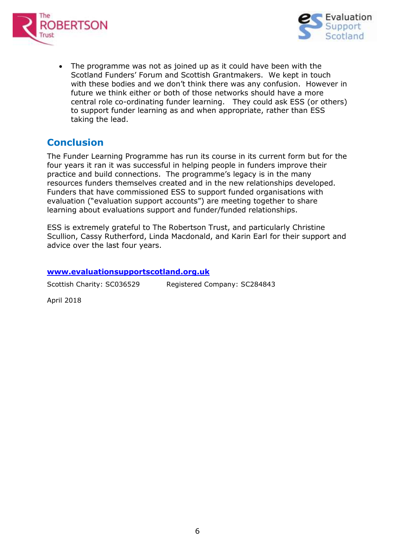



 The programme was not as joined up as it could have been with the Scotland Funders' Forum and Scottish Grantmakers. We kept in touch with these bodies and we don't think there was any confusion. However in future we think either or both of those networks should have a more central role co-ordinating funder learning. They could ask ESS (or others) to support funder learning as and when appropriate, rather than ESS taking the lead.

## **Conclusion**

The Funder Learning Programme has run its course in its current form but for the four years it ran it was successful in helping people in funders improve their practice and build connections. The programme's legacy is in the many resources funders themselves created and in the new relationships developed. Funders that have commissioned ESS to support funded organisations with evaluation ("evaluation support accounts") are meeting together to share learning about evaluations support and funder/funded relationships.

ESS is extremely grateful to The Robertson Trust, and particularly Christine Scullion, Cassy Rutherford, Linda Macdonald, and Karin Earl for their support and advice over the last four years.

#### **[www.evaluationsupportscotland.org.uk](http://www.evaluationsupportscotland.org.uk/)**

| Scottish Charity: SC036529 | Registered Company: SC284843 |
|----------------------------|------------------------------|
|                            |                              |

April 2018